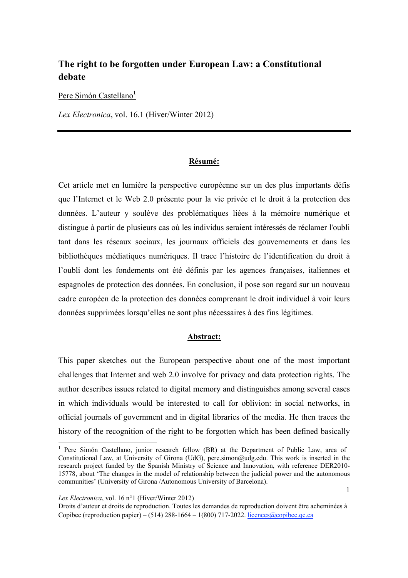## **The right to be forgotten under European Law: a Constitutional debate**

Pere Simón Castellano**<sup>1</sup>**

*Lex Electronica*, vol. 16.1 (Hiver/Winter 2012)

### **Résumé:**

Cet article met en lumière la perspective européenne sur un des plus importants défis que l'Internet et le Web 2.0 présente pour la vie privée et le droit à la protection des données. L'auteur y soulève des problématiques liées à la mémoire numérique et distingue à partir de plusieurs cas où les individus seraient intéressés de réclamer l'oubli tant dans les réseaux sociaux, les journaux officiels des gouvernements et dans les bibliothèques médiatiques numériques. Il trace l'histoire de l'identification du droit à l'oubli dont les fondements ont été définis par les agences françaises, italiennes et espagnoles de protection des données. En conclusion, il pose son regard sur un nouveau cadre européen de la protection des données comprenant le droit individuel à voir leurs données supprimées lorsqu'elles ne sont plus nécessaires à des fins légitimes.

#### **Abstract:**

This paper sketches out the European perspective about one of the most important challenges that Internet and web 2.0 involve for privacy and data protection rights. The author describes issues related to digital memory and distinguishes among several cases in which individuals would be interested to call for oblivion: in social networks, in official journals of government and in digital libraries of the media. He then traces the history of the recognition of the right to be forgotten which has been defined basically

*Lex Electronica*, vol. 16 n°1 (Hiver/Winter 2012)

<sup>&</sup>lt;sup>1</sup> Pere Simón Castellano, junior research fellow (BR) at the Department of Public Law, area of Constitutional Law, at University of Girona (UdG), pere.simon@udg.edu. This work is inserted in the research project funded by the Spanish Ministry of Science and Innovation, with reference DER2010- 15778, about 'The changes in the model of relationship between the judicial power and the autonomous communities' (University of Girona /Autonomous University of Barcelona).

Droits d'auteur et droits de reproduction. Toutes les demandes de reproduction doivent être acheminées à Copibec (reproduction papier) – (514) 288-1664 – 1(800) 717-2022. licences@copibec.qc.ca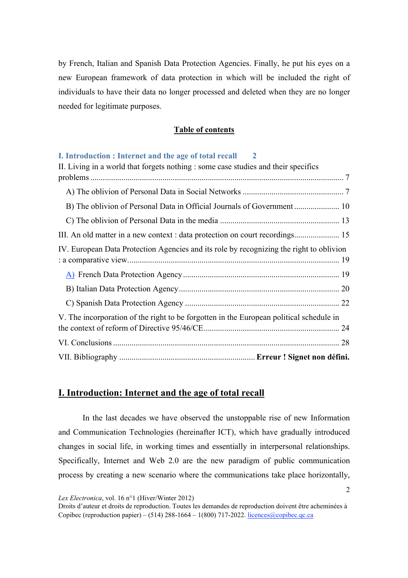by French, Italian and Spanish Data Protection Agencies. Finally, he put his eyes on a new European framework of data protection in which will be included the right of individuals to have their data no longer processed and deleted when they are no longer needed for legitimate purposes.

### **Table of contents**

| I. Introduction : Internet and the age of total recall 2                                |  |
|-----------------------------------------------------------------------------------------|--|
| II. Living in a world that forgets nothing : some case studies and their specifics      |  |
|                                                                                         |  |
|                                                                                         |  |
|                                                                                         |  |
|                                                                                         |  |
|                                                                                         |  |
| IV. European Data Protection Agencies and its role by recognizing the right to oblivion |  |
|                                                                                         |  |
|                                                                                         |  |
|                                                                                         |  |
|                                                                                         |  |
| V. The incorporation of the right to be forgotten in the European political schedule in |  |
|                                                                                         |  |
|                                                                                         |  |
|                                                                                         |  |

## **I. Introduction: Internet and the age of total recall**

In the last decades we have observed the unstoppable rise of new Information and Communication Technologies (hereinafter ICT), which have gradually introduced changes in social life, in working times and essentially in interpersonal relationships. Specifically, Internet and Web 2.0 are the new paradigm of public communication process by creating a new scenario where the communications take place horizontally,

*Lex Electronica*, vol. 16 n°1 (Hiver/Winter 2012)

Droits d'auteur et droits de reproduction. Toutes les demandes de reproduction doivent être acheminées à Copibec (reproduction papier) – (514) 288-1664 – 1(800) 717-2022. licences@copibec.qc.ca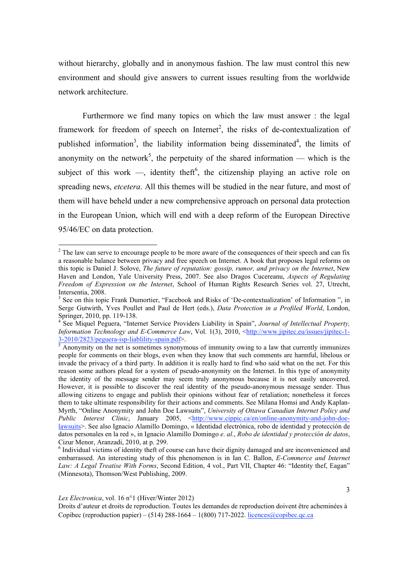without hierarchy, globally and in anonymous fashion. The law must control this new environment and should give answers to current issues resulting from the worldwide network architecture.

Furthermore we find many topics on which the law must answer : the legal framework for freedom of speech on Internet<sup>2</sup>, the risks of de-contextualization of published information<sup>3</sup>, the liability information being disseminated<sup>4</sup>, the limits of anonymity on the network<sup>5</sup>, the perpetuity of the shared information — which is the subject of this work —, identity theft<sup>6</sup>, the citizenship playing an active role on spreading news, *etcetera*. All this themes will be studied in the near future, and most of them will have beheld under a new comprehensive approach on personal data protection in the European Union, which will end with a deep reform of the European Directive 95/46/EC on data protection.

 $2^2$  The law can serve to encourage people to be more aware of the consequences of their speech and can fix a reasonable balance between privacy and free speech on Internet. A book that proposes legal reforms on this topic is Daniel J. Solove, *The future of reputation: gossip, rumor, and privacy on the Internet*, New Haven and London, Yale University Press, 2007. See also Dragos Cucereanu, *Aspects of Regulating Freedom of Expression on the Internet*, School of Human Rights Research Series vol. 27, Utrecht, Intersentia, 2008.

<sup>&</sup>lt;sup>3</sup> See on this topic Frank Dumortier, "Facebook and Risks of 'De-contextualization' of Information ", in Serge Gutwirth, Yves Poullet and Paul de Hert (eds.), *Data Protection in a Profiled World*, London, Springer, 2010, pp. 119-138. 4

See Miquel Peguera, "Internet Service Providers Liability in Spain", *Journal of Intellectual Property, Information Technology and E-Commerce Law*, Vol. 1(3), 2010, <http://www.jipitec.eu/issues/jipitec-1-  $\frac{3-2010/2823/peguera-isp-liability-spain.pdf}{5 \text{ A norm.}}$ 

Anonymity on the net is sometimes synonymous of immunity owing to a law that currently immunizes people for comments on their blogs, even when they know that such comments are harmful, libelous or invade the privacy of a third party. In addition it is really hard to find who said what on the net. For this reason some authors plead for a system of pseudo-anonymity on the Internet. In this type of anonymity the identity of the message sender may seem truly anonymous because it is not easily uncovered. However, it is possible to discover the real identity of the pseudo-anonymous message sender. Thus allowing citizens to engage and publish their opinions without fear of retaliation; nonetheless it forces them to take ultimate responsibility for their actions and comments. See Milana Homsi and Andy Kaplan-Myrth, "Online Anonymity and John Doe Lawsuits", *University of Ottawa Canadian Internet Policy and Public Interest Clinic*, January 2005, <http://www.cippic.ca/en/online-anonymity-and-john-doelawsuits>. See also Ignacio Alamillo Domingo, « Identidad electrónica, robo de identidad y protección de datos personales en la red », in Ignacio Alamillo Domingo *e. al.*, *Robo de identidad y protección de datos*, Cizur Menor, Aranzadi, 2010, at p. 299.

<sup>&</sup>lt;sup>6</sup> Individual victims of identity theft of course can have their dignity damaged and are inconvenienced and embarrassed. An interesting study of this phenomenon is in Ian C. Ballon, *E-Commerce and Internet Law: A Legal Treatise With Forms*, Second Edition, 4 vol., Part VII, Chapter 46: "Identity thef, Eagan" (Minnesota), Thomson/West Publishing, 2009.

*Lex Electronica*, vol. 16 n°1 (Hiver/Winter 2012)

Droits d'auteur et droits de reproduction. Toutes les demandes de reproduction doivent être acheminées à Copibec (reproduction papier) – (514) 288-1664 – 1(800) 717-2022. licences@copibec.qc.ca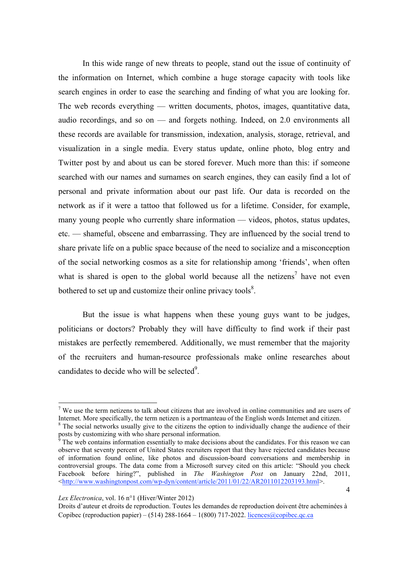In this wide range of new threats to people, stand out the issue of continuity of the information on Internet, which combine a huge storage capacity with tools like search engines in order to ease the searching and finding of what you are looking for. The web records everything — written documents, photos, images, quantitative data, audio recordings, and so on — and forgets nothing. Indeed, on 2.0 environments all these records are available for transmission, indexation, analysis, storage, retrieval, and visualization in a single media. Every status update, online photo, blog entry and Twitter post by and about us can be stored forever. Much more than this: if someone searched with our names and surnames on search engines, they can easily find a lot of personal and private information about our past life. Our data is recorded on the network as if it were a tattoo that followed us for a lifetime. Consider, for example, many young people who currently share information — videos, photos, status updates, etc. — shameful, obscene and embarrassing. They are influenced by the social trend to share private life on a public space because of the need to socialize and a misconception of the social networking cosmos as a site for relationship among 'friends', when often what is shared is open to the global world because all the netizens<sup>7</sup> have not even bothered to set up and customize their online privacy tools $8$ .

But the issue is what happens when these young guys want to be judges, politicians or doctors? Probably they will have difficulty to find work if their past mistakes are perfectly remembered. Additionally, we must remember that the majority of the recruiters and human-resource professionals make online researches about candidates to decide who will be selected<sup>9</sup>.

 $<sup>7</sup>$  We use the term netizens to talk about citizens that are involved in online communities and are users of</sup> Internet. More specifically, the term netizen is a portmanteau of the English words Internet and citizen. 8

 $8$ <sup>8</sup> The social networks usually give to the citizens the option to individually change the audience of their posts by customizing with who share personal information.<br><sup>9</sup> The web contains information essentially to make decisions about the candidates. For this reason we can

observe that seventy percent of United States recruiters report that they have rejected candidates because of information found online, like photos and discussion-board conversations and membership in controversial groups. The data come from a Microsoft survey cited on this article: "Should you check Facebook before hiring?", published in *The Washington Post* on January 22nd, 2011,  $\frac{\text{th}}{\text{t}}/$ www.washingtonpost.com/wp-dyn/content/article/2011/01/22/AR2011012203193.html>.

*Lex Electronica*, vol. 16 n°1 (Hiver/Winter 2012)

Droits d'auteur et droits de reproduction. Toutes les demandes de reproduction doivent être acheminées à Copibec (reproduction papier) – (514) 288-1664 – 1(800) 717-2022. licences@copibec.qc.ca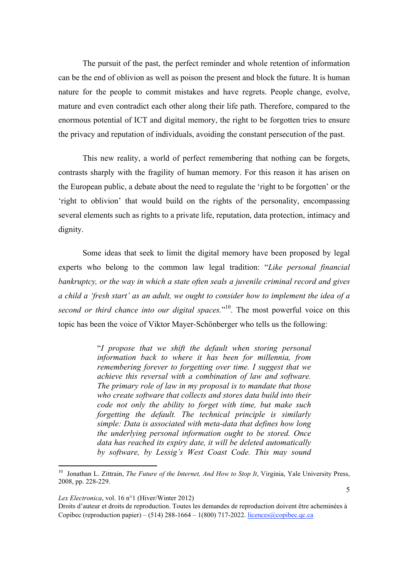The pursuit of the past, the perfect reminder and whole retention of information can be the end of oblivion as well as poison the present and block the future. It is human nature for the people to commit mistakes and have regrets. People change, evolve, mature and even contradict each other along their life path. Therefore, compared to the enormous potential of ICT and digital memory, the right to be forgotten tries to ensure the privacy and reputation of individuals, avoiding the constant persecution of the past.

This new reality, a world of perfect remembering that nothing can be forgets, contrasts sharply with the fragility of human memory. For this reason it has arisen on the European public, a debate about the need to regulate the 'right to be forgotten' or the 'right to oblivion' that would build on the rights of the personality, encompassing several elements such as rights to a private life, reputation, data protection, intimacy and dignity.

Some ideas that seek to limit the digital memory have been proposed by legal experts who belong to the common law legal tradition: "*Like personal financial bankruptcy, or the way in which a state often seals a juvenile criminal record and gives a child a 'fresh start' as an adult, we ought to consider how to implement the idea of a second or third chance into our digital spaces.*" 10. The most powerful voice on this topic has been the voice of Viktor Mayer-Schönberger who tells us the following:

> "*I propose that we shift the default when storing personal information back to where it has been for millennia, from remembering forever to forgetting over time. I suggest that we achieve this reversal with a combination of law and software. The primary role of law in my proposal is to mandate that those who create software that collects and stores data build into their code not only the ability to forget with time, but make such forgetting the default. The technical principle is similarly simple: Data is associated with meta-data that defines how long the underlying personal information ought to be stored. Once data has reached its expiry date, it will be deleted automatically by software, by Lessig's West Coast Code. This may sound*

*Lex Electronica*, vol. 16 n°1 (Hiver/Winter 2012)

<sup>&</sup>lt;sup>10</sup> Jonathan L. Zittrain, *The Future of the Internet, And How to Stop It*, Virginia, Yale University Press, 2008, pp. 228-229.

Droits d'auteur et droits de reproduction. Toutes les demandes de reproduction doivent être acheminées à Copibec (reproduction papier) – (514) 288-1664 – 1(800) 717-2022. licences@copibec.qc.ca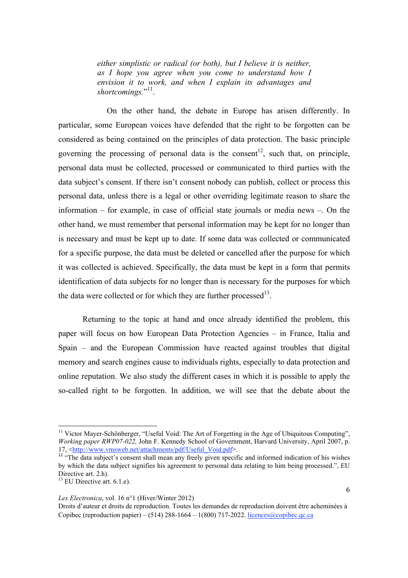*either simplistic or radical (or both), but I believe it is neither, as I hope you agree when you come to understand how I envision it to work, and when I explain its advantages and*  shortcomings."<sup>11</sup>.

On the other hand, the debate in Europe has arisen differently. In particular, some European voices have defended that the right to be forgotten can be considered as being contained on the principles of data protection. The basic principle governing the processing of personal data is the consent<sup>12</sup>, such that, on principle, personal data must be collected, processed or communicated to third parties with the data subject's consent. If there isn't consent nobody can publish, collect or process this personal data, unless there is a legal or other overriding legitimate reason to share the information – for example, in case of official state journals or media news –. On the other hand, we must remember that personal information may be kept for no longer than is necessary and must be kept up to date. If some data was collected or communicated for a specific purpose, the data must be deleted or cancelled after the purpose for which it was collected is achieved. Specifically, the data must be kept in a form that permits identification of data subjects for no longer than is necessary for the purposes for which the data were collected or for which they are further processed<sup>13</sup>.

Returning to the topic at hand and once already identified the problem, this paper will focus on how European Data Protection Agencies – in France, Italia and Spain – and the European Commission have reacted against troubles that digital memory and search engines cause to individuals rights, especially to data protection and online reputation. We also study the different cases in which it is possible to apply the so-called right to be forgotten. In addition, we will see that the debate about the

!!!!!!!!!!!!!!!!!!!!!!!!!!!!!!!!!!!!!!!!!!!!!!!!!!!!!!!!!!!

#### *Lex Electronica*, vol. 16 n°1 (Hiver/Winter 2012)

 $11$  Victor Mayer-Schönberger, "Useful Void: The Art of Forgetting in the Age of Ubiquitous Computing". *Working paper RWP07-022, John F. Kennedy School of Government, Harvard University, April 2007, p.* 17. <http://www.ymsweb.net/attachments/pdf/Useful Void.ndf>.

 $\frac{17}{12}$  "The data subject's consent shall mean any freely given specific and informed indication of his wishes by which the data subject signifies his agreement to personal data relating to him being processed.", EU Directive art. 2.h).

 $13$  EU Directive art. 6.1.e).

Droits d'auteur et droits de reproduction. Toutes les demandes de reproduction doivent être acheminées à Copibec (reproduction papier) – (514) 288-1664 – 1(800) 717-2022. licences@copibec.qc.ca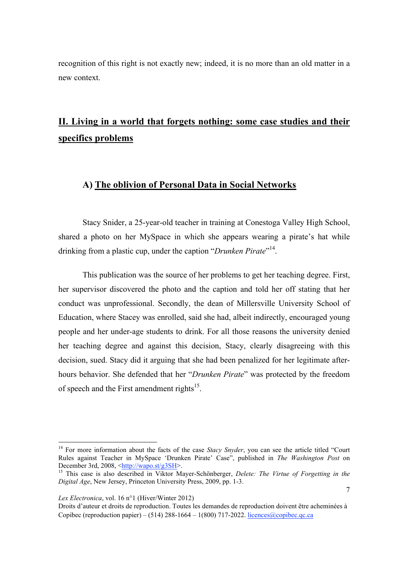recognition of this right is not exactly new; indeed, it is no more than an old matter in a new context.

# **II. Living in a world that forgets nothing: some case studies and their specifics problems**

### **A) The oblivion of Personal Data in Social Networks**

Stacy Snider, a 25-year-old teacher in training at Conestoga Valley High School, shared a photo on her MySpace in which she appears wearing a pirate's hat while drinking from a plastic cup, under the caption "*Drunken Pirate*"<sup>14</sup>.

This publication was the source of her problems to get her teaching degree. First, her supervisor discovered the photo and the caption and told her off stating that her conduct was unprofessional. Secondly, the dean of Millersville University School of Education, where Stacey was enrolled, said she had, albeit indirectly, encouraged young people and her under-age students to drink. For all those reasons the university denied her teaching degree and against this decision, Stacy, clearly disagreeing with this decision, sued. Stacy did it arguing that she had been penalized for her legitimate afterhours behavior. She defended that her "*Drunken Pirate*" was protected by the freedom of speech and the First amendment rights<sup>15</sup>.

<sup>&</sup>lt;sup>14</sup> For more information about the facts of the case *Stacy Snyder*, you can see the article titled "Court" Rules against Teacher in MySpace 'Drunken Pirate' Case", published in *The Washington Post* on December 3rd. 2008. <http://wapo.st/g3SH>.

<sup>&</sup>lt;sup>15</sup> This case is also described in Viktor Mayer-Schönberger, *Delete: The Virtue of Forgetting in the Digital Age*, New Jersey, Princeton University Press, 2009, pp. 1-3.

*Lex Electronica*, vol. 16 n°1 (Hiver/Winter 2012)

Droits d'auteur et droits de reproduction. Toutes les demandes de reproduction doivent être acheminées à Copibec (reproduction papier) – (514) 288-1664 – 1(800) 717-2022. licences@copibec.qc.ca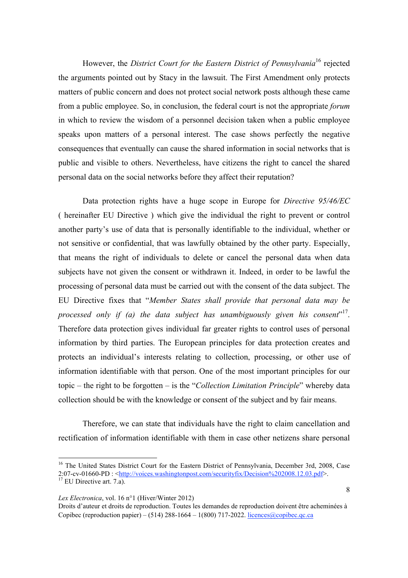However, the *District Court for the Eastern District of Pennsylvania*16 rejected the arguments pointed out by Stacy in the lawsuit. The First Amendment only protects matters of public concern and does not protect social network posts although these came from a public employee. So, in conclusion, the federal court is not the appropriate *forum*  in which to review the wisdom of a personnel decision taken when a public employee speaks upon matters of a personal interest. The case shows perfectly the negative consequences that eventually can cause the shared information in social networks that is public and visible to others. Nevertheless, have citizens the right to cancel the shared personal data on the social networks before they affect their reputation?

Data protection rights have a huge scope in Europe for *Directive 95/46/EC* ( hereinafter EU Directive ) which give the individual the right to prevent or control another party's use of data that is personally identifiable to the individual, whether or not sensitive or confidential, that was lawfully obtained by the other party. Especially, that means the right of individuals to delete or cancel the personal data when data subjects have not given the consent or withdrawn it. Indeed, in order to be lawful the processing of personal data must be carried out with the consent of the data subject. The EU Directive fixes that "*Member States shall provide that personal data may be processed only if (a) the data subject has unambiguously given his consent*" 17. Therefore data protection gives individual far greater rights to control uses of personal information by third parties. The European principles for data protection creates and protects an individual's interests relating to collection, processing, or other use of information identifiable with that person. One of the most important principles for our topic – the right to be forgotten – is the "*Collection Limitation Principle*" whereby data collection should be with the knowledge or consent of the subject and by fair means.

Therefore, we can state that individuals have the right to claim cancellation and rectification of information identifiable with them in case other netizens share personal

### *Lex Electronica*, vol. 16 n°1 (Hiver/Winter 2012)

<sup>&</sup>lt;sup>16</sup> The United States District Court for the Eastern District of Pennsylvania, December 3rd, 2008, Case 2:07-cv-01660-PD : <http://voices.washingtonpost.com/securityfix/Decision%202008.12.03.pdf>. <sup>17</sup> EU Directive art. 7.a).

Droits d'auteur et droits de reproduction. Toutes les demandes de reproduction doivent être acheminées à Copibec (reproduction papier) – (514) 288-1664 – 1(800) 717-2022. licences@copibec.qc.ca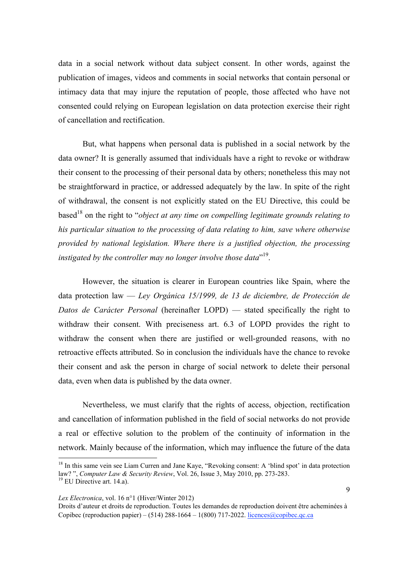data in a social network without data subject consent. In other words, against the publication of images, videos and comments in social networks that contain personal or intimacy data that may injure the reputation of people, those affected who have not consented could relying on European legislation on data protection exercise their right of cancellation and rectification.

But, what happens when personal data is published in a social network by the data owner? It is generally assumed that individuals have a right to revoke or withdraw their consent to the processing of their personal data by others; nonetheless this may not be straightforward in practice, or addressed adequately by the law. In spite of the right of withdrawal, the consent is not explicitly stated on the EU Directive, this could be based<sup>18</sup> on the right to "*object at any time on compelling legitimate grounds relating to his particular situation to the processing of data relating to him, save where otherwise provided by national legislation. Where there is a justified objection, the processing instigated by the controller may no longer involve those data*" 19.

However, the situation is clearer in European countries like Spain, where the data protection law — *Ley Orgánica 15/1999, de 13 de diciembre, de Protección de Datos de Carácter Personal* (hereinafter LOPD) — stated specifically the right to withdraw their consent. With preciseness art. 6.3 of LOPD provides the right to withdraw the consent when there are justified or well-grounded reasons, with no retroactive effects attributed. So in conclusion the individuals have the chance to revoke their consent and ask the person in charge of social network to delete their personal data, even when data is published by the data owner.

Nevertheless, we must clarify that the rights of access, objection, rectification and cancellation of information published in the field of social networks do not provide a real or effective solution to the problem of the continuity of information in the network. Mainly because of the information, which may influence the future of the data

<sup>&</sup>lt;sup>18</sup> In this same vein see Liam Curren and Jane Kaye, "Revoking consent: A 'blind spot' in data protection law? ", *Computer Law & Security Review*, Vol. 26, Issue 3, May 2010, pp. 273-283. <sup>19</sup> EU Directive art. 14.a).

Droits d'auteur et droits de reproduction. Toutes les demandes de reproduction doivent être acheminées à Copibec (reproduction papier) – (514) 288-1664 – 1(800) 717-2022. licences@copibec.qc.ca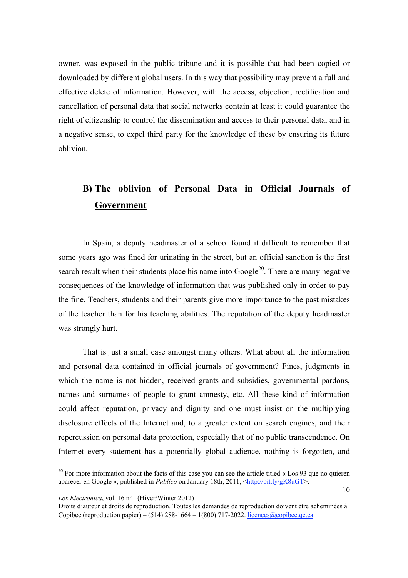owner, was exposed in the public tribune and it is possible that had been copied or downloaded by different global users. In this way that possibility may prevent a full and effective delete of information. However, with the access, objection, rectification and cancellation of personal data that social networks contain at least it could guarantee the right of citizenship to control the dissemination and access to their personal data, and in a negative sense, to expel third party for the knowledge of these by ensuring its future oblivion.

# **B) The oblivion of Personal Data in Official Journals of Government**

In Spain, a deputy headmaster of a school found it difficult to remember that some years ago was fined for urinating in the street, but an official sanction is the first search result when their students place his name into  $Google<sup>20</sup>$ . There are many negative consequences of the knowledge of information that was published only in order to pay the fine. Teachers, students and their parents give more importance to the past mistakes of the teacher than for his teaching abilities. The reputation of the deputy headmaster was strongly hurt.

That is just a small case amongst many others. What about all the information and personal data contained in official journals of government? Fines, judgments in which the name is not hidden, received grants and subsidies, governmental pardons, names and surnames of people to grant amnesty, etc. All these kind of information could affect reputation, privacy and dignity and one must insist on the multiplying disclosure effects of the Internet and, to a greater extent on search engines, and their repercussion on personal data protection, especially that of no public transcendence. On Internet every statement has a potentially global audience, nothing is forgotten, and

*Lex Electronica*, vol. 16 n°1 (Hiver/Winter 2012)

 $20$  For more information about the facts of this case you can see the article titled « Los 93 que no quieren aparecer en Google », published in *Público* on January 18th, 2011, <http://bit.ly/gK8uGT>.

Droits d'auteur et droits de reproduction. Toutes les demandes de reproduction doivent être acheminées à Copibec (reproduction papier) – (514) 288-1664 – 1(800) 717-2022. licences@copibec.qc.ca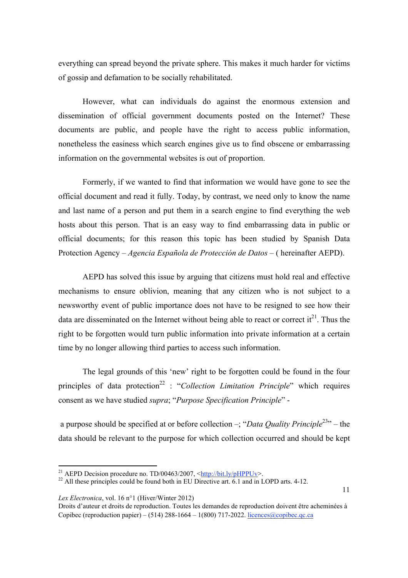everything can spread beyond the private sphere. This makes it much harder for victims of gossip and defamation to be socially rehabilitated.

However, what can individuals do against the enormous extension and dissemination of official government documents posted on the Internet? These documents are public, and people have the right to access public information, nonetheless the easiness which search engines give us to find obscene or embarrassing information on the governmental websites is out of proportion.

Formerly, if we wanted to find that information we would have gone to see the official document and read it fully. Today, by contrast, we need only to know the name and last name of a person and put them in a search engine to find everything the web hosts about this person. That is an easy way to find embarrassing data in public or official documents; for this reason this topic has been studied by Spanish Data Protection Agency – *Agencia Española de Protección de Datos* – ( hereinafter AEPD).

AEPD has solved this issue by arguing that citizens must hold real and effective mechanisms to ensure oblivion, meaning that any citizen who is not subject to a newsworthy event of public importance does not have to be resigned to see how their data are disseminated on the Internet without being able to react or correct it<sup>21</sup>. Thus the right to be forgotten would turn public information into private information at a certain time by no longer allowing third parties to access such information.

The legal grounds of this 'new' right to be forgotten could be found in the four principles of data protection<sup>22</sup> : "*Collection Limitation Principle*" which requires consent as we have studied *supra*; "*Purpose Specification Principle*" -

 a purpose should be specified at or before collection –; "*Data Quality Principle*23" – the data should be relevant to the purpose for which collection occurred and should be kept

*Lex Electronica*, vol. 16 n°1 (Hiver/Winter 2012)

11

<sup>&</sup>lt;sup>21</sup> AEPD Decision procedure no. TD/00463/2007, <http://bit.ly/pHPPUv>.

<sup>&</sup>lt;sup>22</sup> All these principles could be found both in EU Directive art. 6.1 and in LOPD arts. 4-12.

Droits d'auteur et droits de reproduction. Toutes les demandes de reproduction doivent être acheminées à Copibec (reproduction papier) – (514) 288-1664 – 1(800) 717-2022. licences@copibec.qc.ca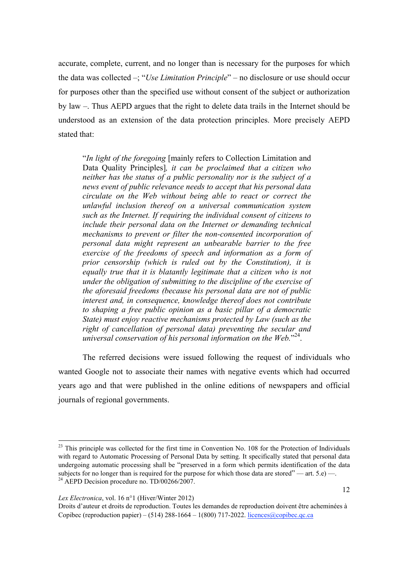accurate, complete, current, and no longer than is necessary for the purposes for which the data was collected –; "*Use Limitation Principle*" – no disclosure or use should occur for purposes other than the specified use without consent of the subject or authorization by law –. Thus AEPD argues that the right to delete data trails in the Internet should be understood as an extension of the data protection principles. More precisely AEPD stated that:

"*In light of the foregoing* [mainly refers to Collection Limitation and Data Quality Principles]*, it can be proclaimed that a citizen who neither has the status of a public personality nor is the subject of a news event of public relevance needs to accept that his personal data circulate on the Web without being able to react or correct the unlawful inclusion thereof on a universal communication system such as the Internet. If requiring the individual consent of citizens to include their personal data on the Internet or demanding technical mechanisms to prevent or filter the non-consented incorporation of personal data might represent an unbearable barrier to the free exercise of the freedoms of speech and information as a form of prior censorship (which is ruled out by the Constitution), it is equally true that it is blatantly legitimate that a citizen who is not under the obligation of submitting to the discipline of the exercise of the aforesaid freedoms (because his personal data are not of public interest and, in consequence, knowledge thereof does not contribute to shaping a free public opinion as a basic pillar of a democratic State) must enjoy reactive mechanisms protected by Law (such as the right of cancellation of personal data) preventing the secular and universal conservation of his personal information on the Web.*" 24.

The referred decisions were issued following the request of individuals who wanted Google not to associate their names with negative events which had occurred years ago and that were published in the online editions of newspapers and official journals of regional governments.

!!!!!!!!!!!!!!!!!!!!!!!!!!!!!!!!!!!!!!!!!!!!!!!!!!!!!!!!!!!!!!!!!!!!!!!!!!!!!!!!!!!!!!!!!!!!!!!!!!!!!!!!!!!!!!!!!!!!!!!!!!!!!!!!!!!!!!!!!!!!!!!!!!!!!!!!!!!!!!!!!!!!!!!!!!!!!

<sup>&</sup>lt;sup>23</sup> This principle was collected for the first time in Convention No. 108 for the Protection of Individuals with regard to Automatic Processing of Personal Data by setting. It specifically stated that personal data undergoing automatic processing shall be "preserved in a form which permits identification of the data subjects for no longer than is required for the purpose for which those data are stored" — art. 5.e) —. <sup>24</sup> AEPD Decision procedure no. TD/00266/2007.

Droits d'auteur et droits de reproduction. Toutes les demandes de reproduction doivent être acheminées à Copibec (reproduction papier) – (514) 288-1664 – 1(800) 717-2022. licences@copibec.qc.ca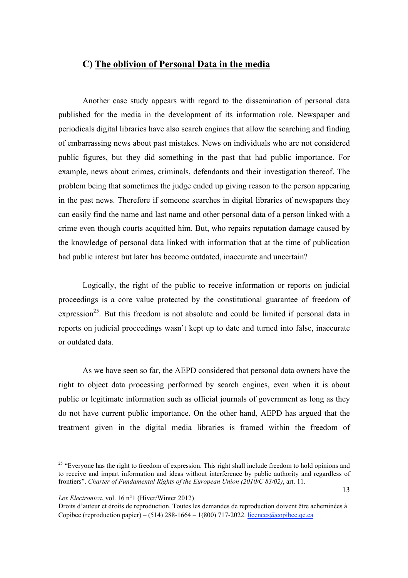## **C) The oblivion of Personal Data in the media**

Another case study appears with regard to the dissemination of personal data published for the media in the development of its information role. Newspaper and periodicals digital libraries have also search engines that allow the searching and finding of embarrassing news about past mistakes. News on individuals who are not considered public figures, but they did something in the past that had public importance. For example, news about crimes, criminals, defendants and their investigation thereof. The problem being that sometimes the judge ended up giving reason to the person appearing in the past news. Therefore if someone searches in digital libraries of newspapers they can easily find the name and last name and other personal data of a person linked with a crime even though courts acquitted him. But, who repairs reputation damage caused by the knowledge of personal data linked with information that at the time of publication had public interest but later has become outdated, inaccurate and uncertain?

Logically, the right of the public to receive information or reports on judicial proceedings is a core value protected by the constitutional guarantee of freedom of expression<sup>25</sup>. But this freedom is not absolute and could be limited if personal data in reports on judicial proceedings wasn't kept up to date and turned into false, inaccurate or outdated data.

As we have seen so far, the AEPD considered that personal data owners have the right to object data processing performed by search engines, even when it is about public or legitimate information such as official journals of government as long as they do not have current public importance. On the other hand, AEPD has argued that the treatment given in the digital media libraries is framed within the freedom of

<sup>&</sup>lt;sup>25</sup> "Everyone has the right to freedom of expression. This right shall include freedom to hold opinions and to receive and impart information and ideas without interference by public authority and regardless of frontiers". *Charter of Fundamental Rights of the European Union (2010/C 83/02)*, art. 11.

Droits d'auteur et droits de reproduction. Toutes les demandes de reproduction doivent être acheminées à Copibec (reproduction papier) – (514) 288-1664 – 1(800) 717-2022. licences@copibec.qc.ca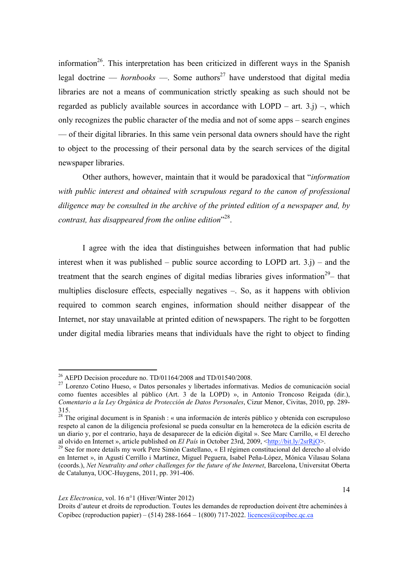information<sup>26</sup>. This interpretation has been criticized in different ways in the Spanish legal doctrine — *hornbooks* —. Some authors<sup>27</sup> have understood that digital media libraries are not a means of communication strictly speaking as such should not be regarded as publicly available sources in accordance with  $LOPD - art. 3.j$ ) –, which only recognizes the public character of the media and not of some apps – search engines — of their digital libraries. In this same vein personal data owners should have the right to object to the processing of their personal data by the search services of the digital newspaper libraries.

Other authors, however, maintain that it would be paradoxical that "*information with public interest and obtained with scrupulous regard to the canon of professional diligence may be consulted in the archive of the printed edition of a newspaper and, by contrast, has disappeared from the online edition*" 28.

I agree with the idea that distinguishes between information that had public interest when it was published – public source according to LOPD art.  $3$ ,  $j$ ) – and the treatment that the search engines of digital medias libraries gives information<sup>29</sup> $-$  that multiplies disclosure effects, especially negatives –. So, as it happens with oblivion required to common search engines, information should neither disappear of the Internet, nor stay unavailable at printed edition of newspapers. The right to be forgotten under digital media libraries means that individuals have the right to object to finding

<sup>&</sup>lt;sup>26</sup> AEPD Decision procedure no.  $TD/01164/2008$  and  $TD/01540/2008$ .

<sup>27</sup> Lorenzo Cotino Hueso, « Datos personales y libertades informativas. Medios de comunicación social como fuentes accesibles al público (Art. 3 de la LOPD) », in Antonio Troncoso Reigada (dir.), *Comentario a la Ley Orgánica de Protección de Datos Personales*, Cizur Menor, Civitas, 2010, pp. 289- 315.

<sup>&</sup>lt;sup>28</sup> The original document is in Spanish : « una información de interés público y obtenida con escrupuloso respeto al canon de la diligencia profesional se pueda consultar en la hemeroteca de la edición escrita de un diario y, por el contrario, haya de desaparecer de la edición digital ». See Marc Carrillo, « El derecho al olvido en Internet », article published on *El País* in October 23rd, 2009, <http://bit.ly/2srRiO>.

<sup>&</sup>lt;sup>29</sup> See for more details my work Pere Simón Castellano, « El régimen constitucional del derecho al olvido en Internet », in Agustí Cerrillo i Martínez, Miguel Peguera, Isabel Peña-López, Mónica Vilasau Solana (coords.), *Net Neutrality and other challenges for the future of the Internet*, Barcelona, Universitat Oberta de Catalunya, UOC-Huygens, 2011, pp. 391-406.

Droits d'auteur et droits de reproduction. Toutes les demandes de reproduction doivent être acheminées à Copibec (reproduction papier) – (514) 288-1664 – 1(800) 717-2022. licences@copibec.qc.ca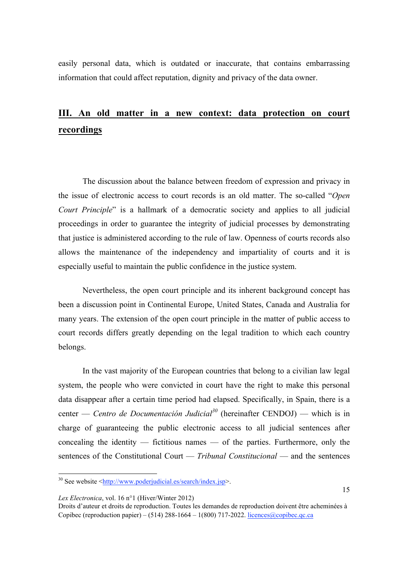easily personal data, which is outdated or inaccurate, that contains embarrassing information that could affect reputation, dignity and privacy of the data owner.

# **III. An old matter in a new context: data protection on court recordings**

The discussion about the balance between freedom of expression and privacy in the issue of electronic access to court records is an old matter. The so-called "*Open Court Principle*" is a hallmark of a democratic society and applies to all judicial proceedings in order to guarantee the integrity of judicial processes by demonstrating that justice is administered according to the rule of law. Openness of courts records also allows the maintenance of the independency and impartiality of courts and it is especially useful to maintain the public confidence in the justice system.

Nevertheless, the open court principle and its inherent background concept has been a discussion point in Continental Europe, United States, Canada and Australia for many years. The extension of the open court principle in the matter of public access to court records differs greatly depending on the legal tradition to which each country belongs.

In the vast majority of the European countries that belong to a civilian law legal system, the people who were convicted in court have the right to make this personal data disappear after a certain time period had elapsed. Specifically, in Spain, there is a center — *Centro de Documentación Judicial*<sup>30</sup> (hereinafter CENDOJ) — which is in charge of guaranteeing the public electronic access to all judicial sentences after concealing the identity — fictitious names — of the parties. Furthermore, only the sentences of the Constitutional Court — *Tribunal Constitucional* — and the sentences

*Lex Electronica*, vol. 16 n°1 (Hiver/Winter 2012)

<sup>&</sup>lt;sup>30</sup> See website <http://www.poderjudicial.es/search/index.jsp>.

Droits d'auteur et droits de reproduction. Toutes les demandes de reproduction doivent être acheminées à Copibec (reproduction papier) – (514) 288-1664 – 1(800) 717-2022. licences@copibec.qc.ca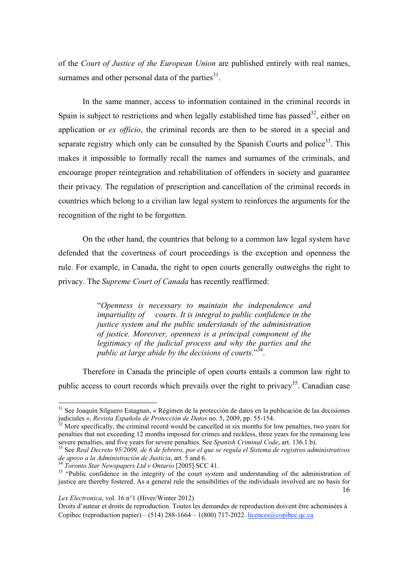of the *Court of Justice of the European Union* are published entirely with real names, surnames and other personal data of the parties $31$ .

In the same manner, access to information contained in the criminal records in Spain is subject to restrictions and when legally established time has passed<sup>32</sup>, either on application or *ex officio*, the criminal records are then to be stored in a special and separate registry which only can be consulted by the Spanish Courts and police<sup>33</sup>. This makes it impossible to formally recall the names and surnames of the criminals, and encourage proper reintegration and rehabilitation of offenders in society and guarantee their privacy. The regulation of prescription and cancellation of the criminal records in countries which belong to a civilian law legal system to reinforces the arguments for the recognition of the right to be forgotten.

On the other hand, the countries that belong to a common law legal system have defended that the covertness of court proceedings is the exception and openness the rule. For example, in Canada, the right to open courts generally outweighs the right to privacy. The *Supreme Court of Canada* has recently reaffirmed:

> "*Openness is necessary to maintain the independence and impartiality of courts. It is integral to public confidence in the justice system and the public understands of the administration of justice. Moreover, openness is a principal component of the legitimacy of the judicial process and why the parties and the public at large abide by the decisions of courts.*" 34.

Therefore in Canada the principle of open courts entails a common law right to public access to court records which prevails over the right to privacy<sup>35</sup>. Canadian case

*Lex Electronica*, vol. 16 n°1 (Hiver/Winter 2012)

<sup>&</sup>lt;sup>31</sup> See Joaquín Silguero Estagnan, « Régimen de la protección de datos en la publicación de las decisiones judiciales », *Revista Española de Protección de Datos* no. 5, 2009, pp. 55-154. 32 More specifically, the criminal record would be cancelled in six months for low penalties, two years for

penalties that not exceeding 12 months imposed for crimes and reckless, three years for the remaining less severe penalties, and five years for severe penalties. See Spanish Criminal Code, art. 136.1.b).

<sup>&</sup>lt;sup>33</sup> See *Real Decreto 95/2009, de 6 de febrero, por el que se regula el Sistema de registros administrativos de apoyo a la Administración de Justicia, art. 5 and 6.* 

<sup>16</sup> <sup>34</sup> Toronto Star Newspapers Ltd v Ontario [2005] SCC 41.<br><sup>35</sup> "Public confidence in the integrity of the court system and understanding of the administration of justice are thereby fostered. As a general rule the sensibilities of the individuals involved are no basis for

Droits d'auteur et droits de reproduction. Toutes les demandes de reproduction doivent être acheminées à Copibec (reproduction papier) – (514) 288-1664 – 1(800) 717-2022. licences@copibec.qc.ca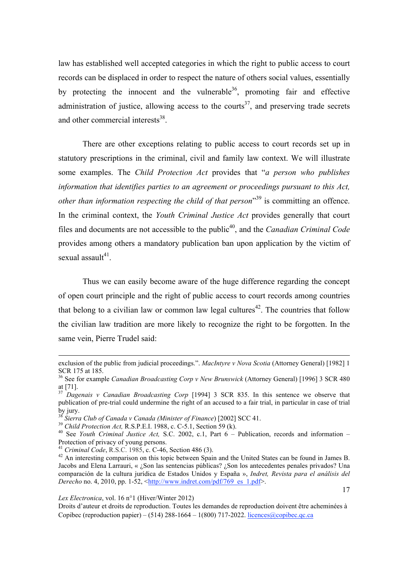law has established well accepted categories in which the right to public access to court records can be displaced in order to respect the nature of others social values, essentially by protecting the innocent and the vulnerable  $36$ , promoting fair and effective administration of justice, allowing access to the courts<sup>37</sup>, and preserving trade secrets and other commercial interests<sup>38</sup>.

There are other exceptions relating to public access to court records set up in statutory prescriptions in the criminal, civil and family law context. We will illustrate some examples. The *Child Protection Act* provides that "*a person who publishes information that identifies parties to an agreement or proceedings pursuant to this Act, other than information respecting the child of that person*<sup>39</sup> is committing an offence. In the criminal context, the *Youth Criminal Justice Act* provides generally that court files and documents are not accessible to the public<sup>40</sup>, and the *Canadian Criminal Code* provides among others a mandatory publication ban upon application by the victim of sexual assault $41$ .

Thus we can easily become aware of the huge difference regarding the concept of open court principle and the right of public access to court records among countries that belong to a civilian law or common law legal cultures<sup>42</sup>. The countries that follow the civilian law tradition are more likely to recognize the right to be forgotten. In the same vein, Pierre Trudel said:

*Lex Electronica*, vol. 16 n°1 (Hiver/Winter 2012)

17

<sup>!!!!!!!!!!!!!!!!!!!!!!!!!!!!!!!!!!!!!!!!!!!!!!!!!!!!!!!!!!!!!!!!!!!!!!!!!!!!!!!!!!!!!!!!!!!!!!!!!!!!!!!!!!!!!!!!!!!!!!!!!!!!!!!!!!!!!!!!!!!!!!!!!!!!!!!!!!!!!!!!!!!!!!!!!!!!!</sup> exclusion of the public from judicial proceedings.". *MacIntyre v Nova Scotia* (Attorney General) [1982] 1 SCR 175 at 185.

<sup>36</sup> See for example *Canadian Broadcasting Corp v New Brunswick* (Attorney General) [1996] 3 SCR 480 at [71].

<sup>&</sup>lt;sup>37</sup> *Dagenais v Canadian Broadcasting Corp* [1994] 3 SCR 835. In this sentence we observe that publication of pre-trial could undermine the right of an accused to a fair trial, in particular in case of trial by jury.<br><sup>38</sup> Sierra Club of Canada v Canada (Minister of Finance) [2002] SCC 41.

<sup>&</sup>lt;sup>39</sup> Child Protection Act, R.S.P.E.I. 1988, c. C-5.1, Section 59 (k).<br><sup>40</sup> See Youth Criminal Justice Act, S.C. 2002, c.1, Part 6 – Publication, records and information – Protection of privacy of young persons.<br><sup>41</sup> Criminal Code, R.S.C. 1985, c. C-46, Section 486 (3).

<sup>&</sup>lt;sup>42</sup> An interesting comparison on this topic between Spain and the United States can be found in James B. Jacobs and Elena Larrauri, « ¿Son las sentencias públicas? ¿Son los antecedentes penales privados? Una comparación de la cultura jurídica de Estados Unidos y España », *Indret, Revista para el análisis del Derecho* no. 4, 2010, pp. 1-52, <http://www.indret.com/pdf/769\_es\_1.pdf>.

Droits d'auteur et droits de reproduction. Toutes les demandes de reproduction doivent être acheminées à Copibec (reproduction papier) – (514) 288-1664 – 1(800) 717-2022. licences@copibec.qc.ca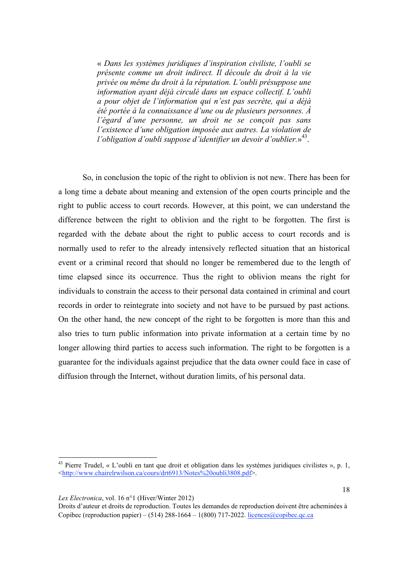« *Dans les systèmes juridiques d'inspiration civiliste, l'oubli se présente comme un droit indirect. Il découle du droit à la vie privée ou même du droit à la réputation. L'oubli présuppose une information ayant déjà circulé dans un espace collectif. L'oubli a pour objet de l'information qui n'est pas secrète, qui a déjà été portée à la connaissance d'une ou de plusieurs personnes. À l'égard d'une personne, un droit ne se conçoit pas sans l'existence d'une obligation imposée aux autres. La violation de l'obligation d'oubli suppose d'identifier un devoir d'oublier.*»43.

So, in conclusion the topic of the right to oblivion is not new. There has been for a long time a debate about meaning and extension of the open courts principle and the right to public access to court records. However, at this point, we can understand the difference between the right to oblivion and the right to be forgotten. The first is regarded with the debate about the right to public access to court records and is normally used to refer to the already intensively reflected situation that an historical event or a criminal record that should no longer be remembered due to the length of time elapsed since its occurrence. Thus the right to oblivion means the right for individuals to constrain the access to their personal data contained in criminal and court records in order to reintegrate into society and not have to be pursued by past actions. On the other hand, the new concept of the right to be forgotten is more than this and also tries to turn public information into private information at a certain time by no longer allowing third parties to access such information. The right to be forgotten is a guarantee for the individuals against prejudice that the data owner could face in case of diffusion through the Internet, without duration limits, of his personal data.

*Lex Electronica*, vol. 16 n°1 (Hiver/Winter 2012)

 $43$  Pierre Trudel, « L'oubli en tant que droit et obligation dans les systèmes juridiques civilistes », p. 1, <http://www.chairelrwilson.ca/cours/drt6913/Notes%20oubli3808.pdf>.

Droits d'auteur et droits de reproduction. Toutes les demandes de reproduction doivent être acheminées à Copibec (reproduction papier) – (514) 288-1664 – 1(800) 717-2022. licences@copibec.qc.ca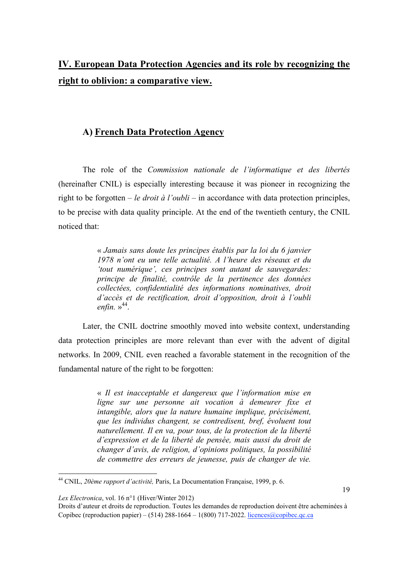# **IV. European Data Protection Agencies and its role by recognizing the right to oblivion: a comparative view.**

## **A) French Data Protection Agency**

The role of the *Commission nationale de l'informatique et des libertés* (hereinafter CNIL) is especially interesting because it was pioneer in recognizing the right to be forgotten – *le droit à l'oubli* – in accordance with data protection principles, to be precise with data quality principle. At the end of the twentieth century, the CNIL noticed that:

> « *Jamais sans doute les principes établis par la loi du 6 janvier 1978 n'ont eu une telle actualité. A l'heure des réseaux et du 'tout numérique', ces principes sont autant de sauvegardes: principe de finalité, contrôle de la pertinence des données collectées, confidentialité des informations nominatives, droit d'accès et de rectification, droit d'opposition, droit à l'oubli enfin.* » 44.

Later, the CNIL doctrine smoothly moved into website context, understanding data protection principles are more relevant than ever with the advent of digital networks. In 2009, CNIL even reached a favorable statement in the recognition of the fundamental nature of the right to be forgotten:

> « *Il est inacceptable et dangereux que l'information mise en ligne sur une personne ait vocation à demeurer fixe et intangible, alors que la nature humaine implique, précisément, que les individus changent, se contredisent, bref, évoluent tout naturellement. Il en va, pour tous, de la protection de la liberté d'expression et de la liberté de pensée, mais aussi du droit de changer d'avis, de religion, d'opinions politiques, la possibilité de commettre des erreurs de jeunesse, puis de changer de vie.*

*Lex Electronica*, vol. 16 n°1 (Hiver/Winter 2012)

<sup>44</sup> CNIL, *20ème rapport d'activité,* Paris, La Documentation Française, 1999, p. 6.

Droits d'auteur et droits de reproduction. Toutes les demandes de reproduction doivent être acheminées à Copibec (reproduction papier) – (514) 288-1664 – 1(800) 717-2022. licences@copibec.qc.ca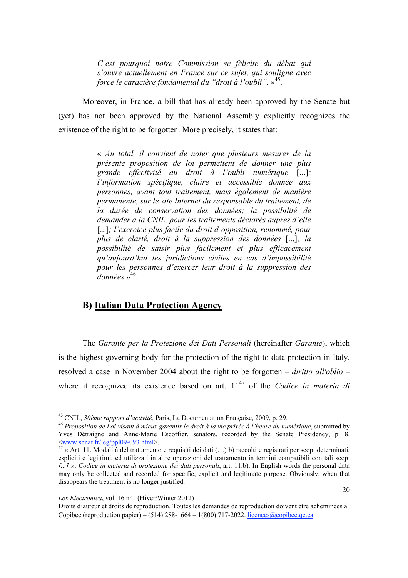*C'est pourquoi notre Commission se félicite du débat qui s'ouvre actuellement en France sur ce sujet, qui souligne avec force le caractère fondamental du "droit à l'oubli".* »45.

Moreover, in France, a bill that has already been approved by the Senate but (yet) has not been approved by the National Assembly explicitly recognizes the existence of the right to be forgotten. More precisely, it states that:

> « *Au total, il convient de noter que plusieurs mesures de la présente proposition de loi permettent de donner une plus grande effectivité au droit à l'oubli numérique* [...]*: l'information spécifique, claire et accessible donnée aux personnes, avant tout traitement, mais également de manière permanente, sur le site Internet du responsable du traitement, de la durée de conservation des données; la possibilité de demander à la CNIL, pour les traitements déclarés auprès d'elle*  [...]*; l'exercice plus facile du droit d'opposition, renommé, pour plus de clarté, droit à la suppression des données* [...]*; la possibilité de saisir plus facilement et plus efficacement qu'aujourd'hui les juridictions civiles en cas d'impossibilité pour les personnes d'exercer leur droit à la suppression des*  données »<sup>46</sup>.

### **B) Italian Data Protection Agency**

The *Garante per la Protezione dei Dati Personali* (hereinafter *Garante*), which is the highest governing body for the protection of the right to data protection in Italy, resolved a case in November 2004 about the right to be forgotten – *diritto all'oblio* – where it recognized its existence based on art. 11<sup>47</sup> of the *Codice in materia di* 

*Lex Electronica*, vol. 16 n°1 (Hiver/Winter 2012)

<sup>%&</sup>amp; CNIL, *30ème rapport d'activité,* Paris, La Documentation Française, 2009, p. 29.

<sup>46</sup> *Proposition de Loi visant à mieux garantir le droit à la vie privée à l'heure du numérique*, submitted by Yves Détraigne and Anne-Marie Escoffier, senators, recorded by the Senate Presidency, p. 8, <br>
Swww.senat.fr/leg/ppl09-093.html>.

 $47 \times$ Art. 11. Modalità del trattamento e requisiti dei dati (…) b) raccolti e registrati per scopi determinati, espliciti e legittimi, ed utilizzati in altre operazioni del trattamento in termini compatibili con tali scopi *[...]* ». *Codice in materia di protezione dei dati personali*, art. 11.b). In English words the personal data may only be collected and recorded for specific, explicit and legitimate purpose. Obviously, when that disappears the treatment is no longer justified.

Droits d'auteur et droits de reproduction. Toutes les demandes de reproduction doivent être acheminées à Copibec (reproduction papier) – (514) 288-1664 – 1(800) 717-2022. licences@copibec.qc.ca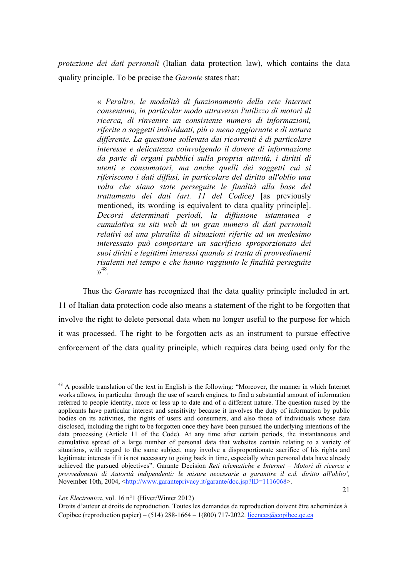*protezione dei dati personali* (Italian data protection law), which contains the data quality principle. To be precise the *Garante* states that:

> « *Peraltro, le modalità di funzionamento della rete Internet consentono, in particolar modo attraverso l'utilizzo di motori di ricerca, di rinvenire un consistente numero di informazioni, riferite a soggetti individuati, più o meno aggiornate e di natura differente. La questione sollevata dai ricorrenti è di particolare interesse e delicatezza coinvolgendo il dovere di informazione da parte di organi pubblici sulla propria attività, i diritti di utenti e consumatori, ma anche quelli dei soggetti cui si riferiscono i dati diffusi, in particolare del diritto all'oblio una volta che siano state perseguite le finalità alla base del trattamento dei dati (art. 11 del Codice)* [as previously mentioned, its wording is equivalent to data quality principle]. *Decorsi determinati periodi, la diffusione istantanea e cumulativa su siti web di un gran numero di dati personali relativi ad una pluralità di situazioni riferite ad un medesimo interessato può comportare un sacrificio sproporzionato dei suoi diritti e legittimi interessi quando si tratta di provvedimenti risalenti nel tempo e che hanno raggiunto le finalità perseguite*  $v^{48}$

Thus the *Garante* has recognized that the data quality principle included in art. 11 of Italian data protection code also means a statement of the right to be forgotten that involve the right to delete personal data when no longer useful to the purpose for which it was processed. The right to be forgotten acts as an instrument to pursue effective enforcement of the data quality principle, which requires data being used only for the

*Lex Electronica*, vol. 16 n°1 (Hiver/Winter 2012)

!!!!!!!!!!!!!!!!!!!!!!!!!!!!!!!!!!!!!!!!!!!!!!!!!!!!!!!!!!!

21

<sup>48</sup> A possible translation of the text in English is the following: "Moreover, the manner in which Internet works allows, in particular through the use of search engines, to find a substantial amount of information referred to people identity, more or less up to date and of a different nature. The question raised by the applicants have particular interest and sensitivity because it involves the duty of information by public bodies on its activities, the rights of users and consumers, and also those of individuals whose data disclosed, including the right to be forgotten once they have been pursued the underlying intentions of the data processing (Article 11 of the Code). At any time after certain periods, the instantaneous and cumulative spread of a large number of personal data that websites contain relating to a variety of situations, with regard to the same subject, may involve a disproportionate sacrifice of his rights and legitimate interests if it is not necessary to going back in time, especially when personal data have already achieved the pursued objectives". Garante Decision *Reti telematiche e Internet – Motori di ricerca e provvedimenti di Autorità indipendenti: le misure necessarie a garantire il c.d. diritto all'oblio',*  November 10th, 2004, <http://www.garanteprivacy.it/garante/doc.jsp?ID=1116068>.

Droits d'auteur et droits de reproduction. Toutes les demandes de reproduction doivent être acheminées à Copibec (reproduction papier) – (514) 288-1664 – 1(800) 717-2022. licences@copibec.qc.ca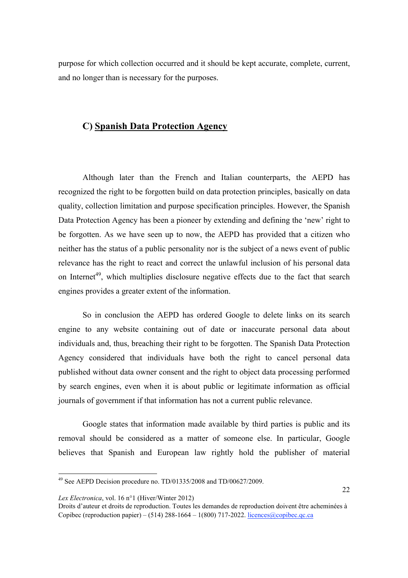purpose for which collection occurred and it should be kept accurate, complete, current, and no longer than is necessary for the purposes.

## **C) Spanish Data Protection Agency**

Although later than the French and Italian counterparts, the AEPD has recognized the right to be forgotten build on data protection principles, basically on data quality, collection limitation and purpose specification principles. However, the Spanish Data Protection Agency has been a pioneer by extending and defining the 'new' right to be forgotten. As we have seen up to now, the AEPD has provided that a citizen who neither has the status of a public personality nor is the subject of a news event of public relevance has the right to react and correct the unlawful inclusion of his personal data on Internet<sup>49</sup>, which multiplies disclosure negative effects due to the fact that search engines provides a greater extent of the information.

So in conclusion the AEPD has ordered Google to delete links on its search engine to any website containing out of date or inaccurate personal data about individuals and, thus, breaching their right to be forgotten. The Spanish Data Protection Agency considered that individuals have both the right to cancel personal data published without data owner consent and the right to object data processing performed by search engines, even when it is about public or legitimate information as official journals of government if that information has not a current public relevance.

Google states that information made available by third parties is public and its removal should be considered as a matter of someone else. In particular, Google believes that Spanish and European law rightly hold the publisher of material

*Lex Electronica*, vol. 16 n°1 (Hiver/Winter 2012)

 $49$  See AEPD Decision procedure no. TD/01335/2008 and TD/00627/2009.

Droits d'auteur et droits de reproduction. Toutes les demandes de reproduction doivent être acheminées à Copibec (reproduction papier) – (514) 288-1664 – 1(800) 717-2022. licences@copibec.qc.ca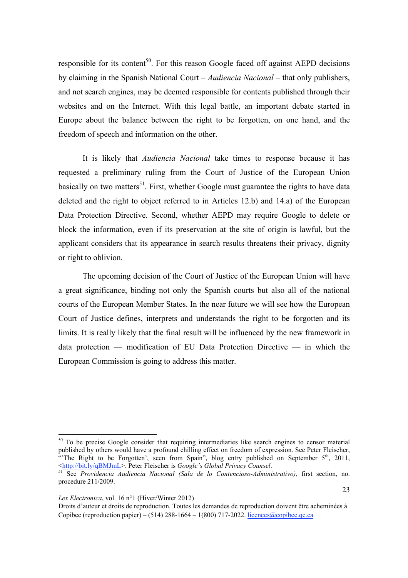responsible for its content<sup>50</sup>. For this reason Google faced off against AEPD decisions by claiming in the Spanish National Court – *Audiencia Nacional* – that only publishers, and not search engines, may be deemed responsible for contents published through their websites and on the Internet. With this legal battle, an important debate started in Europe about the balance between the right to be forgotten, on one hand, and the freedom of speech and information on the other.

It is likely that *Audiencia Nacional* take times to response because it has requested a preliminary ruling from the Court of Justice of the European Union basically on two matters<sup>51</sup>. First, whether Google must guarantee the rights to have data deleted and the right to object referred to in Articles 12.b) and 14.a) of the European Data Protection Directive. Second, whether AEPD may require Google to delete or block the information, even if its preservation at the site of origin is lawful, but the applicant considers that its appearance in search results threatens their privacy, dignity or right to oblivion.

The upcoming decision of the Court of Justice of the European Union will have a great significance, binding not only the Spanish courts but also all of the national courts of the European Member States. In the near future we will see how the European Court of Justice defines, interprets and understands the right to be forgotten and its limits. It is really likely that the final result will be influenced by the new framework in data protection — modification of EU Data Protection Directive — in which the European Commission is going to address this matter.

 $50$  To be precise Google consider that requiring intermediaries like search engines to censor material published by others would have a profound chilling effect on freedom of expression. See Peter Fleischer, "The Right to be Forgotten', seen from Spain", blog entry published on September  $5<sup>th</sup>$ , 2011,  $\leq$ http://bit.ly/qBMJmL</u>>. Peter Fleischer is *Google's Global Privacy Counsel*.

<sup>&</sup>lt;sup>51</sup> See *Providencia Audiencia Nacional (Sala de lo Contencioso-Administrativo)*, first section, no. procedure 211/2009.

*Lex Electronica*, vol. 16 n°1 (Hiver/Winter 2012)

Droits d'auteur et droits de reproduction. Toutes les demandes de reproduction doivent être acheminées à Copibec (reproduction papier) – (514) 288-1664 – 1(800) 717-2022. licences@copibec.qc.ca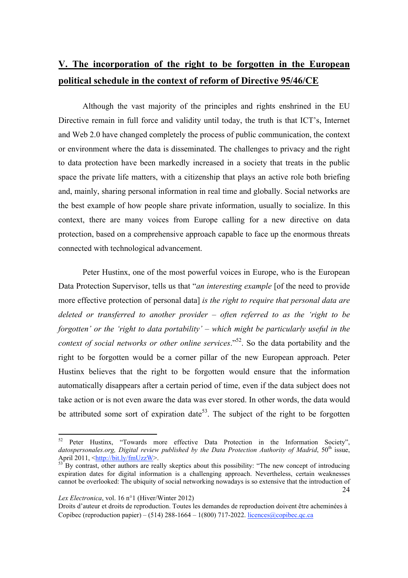# **V. The incorporation of the right to be forgotten in the European political schedule in the context of reform of Directive 95/46/CE**

Although the vast majority of the principles and rights enshrined in the EU Directive remain in full force and validity until today, the truth is that ICT's, Internet and Web 2.0 have changed completely the process of public communication, the context or environment where the data is disseminated. The challenges to privacy and the right to data protection have been markedly increased in a society that treats in the public space the private life matters, with a citizenship that plays an active role both briefing and, mainly, sharing personal information in real time and globally. Social networks are the best example of how people share private information, usually to socialize. In this context, there are many voices from Europe calling for a new directive on data protection, based on a comprehensive approach capable to face up the enormous threats connected with technological advancement.

Peter Hustinx, one of the most powerful voices in Europe, who is the European Data Protection Supervisor, tells us that "*an interesting example* [of the need to provide more effective protection of personal data] *is the right to require that personal data are deleted or transferred to another provider – often referred to as the 'right to be forgotten' or the 'right to data portability' – which might be particularly useful in the context of social networks or other online services*."52. So the data portability and the right to be forgotten would be a corner pillar of the new European approach. Peter Hustinx believes that the right to be forgotten would ensure that the information automatically disappears after a certain period of time, even if the data subject does not take action or is not even aware the data was ever stored. In other words, the data would be attributed some sort of expiration date<sup>53</sup>. The subject of the right to be forgotten

*Lex Electronica*, vol. 16 n°1 (Hiver/Winter 2012)

<sup>52</sup> Peter Hustinx, "Towards more effective Data Protection in the Information Society", datospersonales.org, Digital review published by the Data Protection Authority of Madrid, 50<sup>th</sup> issue, April 2011,  $\frac{\text{http://bit.ly/fmUzzW}}{\text{53}}$  By contrast, other authors are really skeptics about this possibility: "The new concept of introducing

<sup>24</sup> expiration dates for digital information is a challenging approach. Nevertheless, certain weaknesses cannot be overlooked: The ubiquity of social networking nowadays is so extensive that the introduction of

Droits d'auteur et droits de reproduction. Toutes les demandes de reproduction doivent être acheminées à Copibec (reproduction papier) – (514) 288-1664 – 1(800) 717-2022. licences@copibec.qc.ca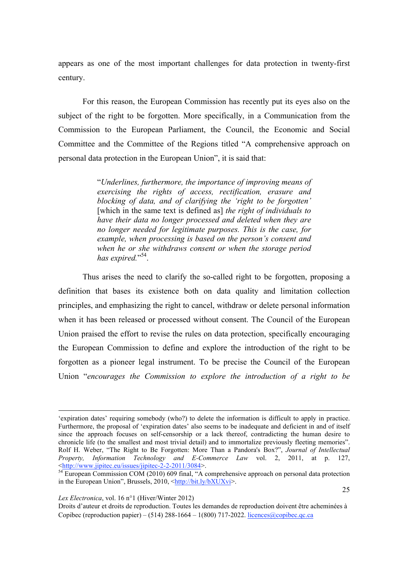appears as one of the most important challenges for data protection in twenty-first century.

For this reason, the European Commission has recently put its eyes also on the subject of the right to be forgotten. More specifically, in a Communication from the Commission to the European Parliament, the Council, the Economic and Social Committee and the Committee of the Regions titled "A comprehensive approach on personal data protection in the European Union", it is said that:

> "*Underlines, furthermore, the importance of improving means of exercising the rights of access, rectification, erasure and blocking of data, and of clarifying the 'right to be forgotten'* [which in the same text is defined as] *the right of individuals to have their data no longer processed and deleted when they are no longer needed for legitimate purposes. This is the case, for example, when processing is based on the person's consent and when he or she withdraws consent or when the storage period*  has expired."<sup>54</sup>.

Thus arises the need to clarify the so-called right to be forgotten, proposing a definition that bases its existence both on data quality and limitation collection principles, and emphasizing the right to cancel, withdraw or delete personal information when it has been released or processed without consent. The Council of the European Union praised the effort to revise the rules on data protection, specifically encouraging the European Commission to define and explore the introduction of the right to be forgotten as a pioneer legal instrument. To be precise the Council of the European Union "*encourages the Commission to explore the introduction of a right to be* 

!!!!!!!!!!!!!!!!!!!!!!!!!!!!!!!!!!!!!!!!!!!!!!!!!!!!!!!!!!!!!!!!!!!!!!!!!!!!!!!!!!!!!!!!!!!!!!!!!!!!!!!!!!!!!!!!!!!!!!!!!!!!!!!!!!!!!!!!!!!!!!!!!!!!!!!!!!!!!!!!!!!!!!!!!!!!!

<sup>&#</sup>x27;expiration dates' requiring somebody (who?) to delete the information is difficult to apply in practice. Furthermore, the proposal of 'expiration dates' also seems to be inadequate and deficient in and of itself since the approach focuses on self-censorship or a lack thereof, contradicting the human desire to chronicle life (to the smallest and most trivial detail) and to immortalize previously fleeting memories". Rolf H. Weber, "The Right to Be Forgotten: More Than a Pandora's Box?", *Journal of Intellectual Property, Information Technology and E-Commerce Law vol.* 2, 2011, at p. 127, <br>
<u>shttp://www.jipitec.eu/issues/jipitec-2-2-2011/3084</u>>.

 $\frac{1}{54}$  European Commission COM (2010) 609 final, "A comprehensive approach on personal data protection in the European Union", Brussels, 2010, <http://bit.ly/bXUXvi>.

*Lex Electronica*, vol. 16 n°1 (Hiver/Winter 2012)

Droits d'auteur et droits de reproduction. Toutes les demandes de reproduction doivent être acheminées à Copibec (reproduction papier) – (514) 288-1664 – 1(800) 717-2022. licences@copibec.qc.ca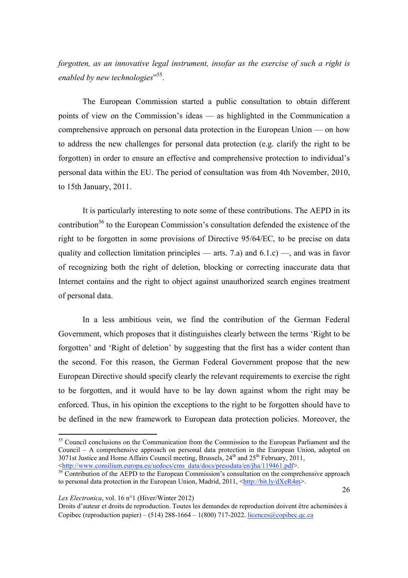*forgotten, as an innovative legal instrument, insofar as the exercise of such a right is enabled by new technologies*" 55.

The European Commission started a public consultation to obtain different points of view on the Commission's ideas — as highlighted in the Communication a comprehensive approach on personal data protection in the European Union — on how to address the new challenges for personal data protection (e.g. clarify the right to be forgotten) in order to ensure an effective and comprehensive protection to individual's personal data within the EU. The period of consultation was from 4th November, 2010, to 15th January, 2011.

It is particularly interesting to note some of these contributions. The AEPD in its contribution<sup>56</sup> to the European Commission's consultation defended the existence of the right to be forgotten in some provisions of Directive 95/64/EC, to be precise on data quality and collection limitation principles — arts. 7.a) and  $6.1.c$  —, and was in favor of recognizing both the right of deletion, blocking or correcting inaccurate data that Internet contains and the right to object against unauthorized search engines treatment of personal data.

In a less ambitious vein, we find the contribution of the German Federal Government, which proposes that it distinguishes clearly between the terms 'Right to be forgotten' and 'Right of deletion' by suggesting that the first has a wider content than the second. For this reason, the German Federal Government propose that the new European Directive should specify clearly the relevant requirements to exercise the right to be forgotten, and it would have to be lay down against whom the right may be enforced. Thus, in his opinion the exceptions to the right to be forgotten should have to be defined in the new framework to European data protection policies. Moreover, the

*Lex Electronica*, vol. 16 n°1 (Hiver/Winter 2012)

<sup>&</sup>lt;sup>55</sup> Council conclusions on the Communication from the Commission to the European Parliament and the Council – A comprehensive approach on personal data protection in the European Union, adopted on 3071st Justice and Home Affairs Council meeting, Brussels,  $24^{th}$  and  $25^{th}$  February, 2011,  $\langle \frac{\text{http://www.consilium.europa.eu/uedocs/cms data/docs/pressdata/en/ha/119461.pdf.}$ 

 $\frac{1}{6}$  Contribution of the AEPD to the European Commission's consultation on the comprehensive approach to personal data protection in the European Union, Madrid, 2011,  $\frac{\text{http://bit.lv/dXeR4m>}}{\text{http://bit.lv/dXeR4m>}}$ .

Droits d'auteur et droits de reproduction. Toutes les demandes de reproduction doivent être acheminées à Copibec (reproduction papier) – (514) 288-1664 – 1(800) 717-2022. licences@copibec.qc.ca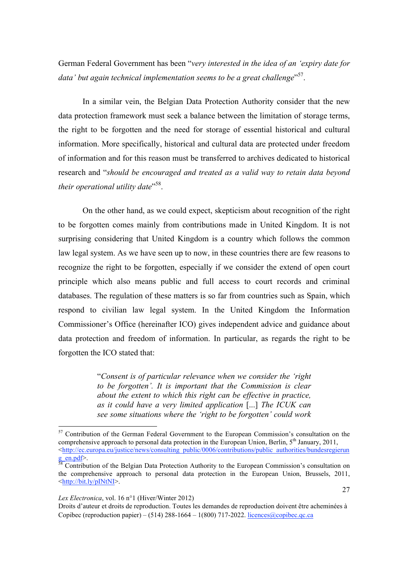German Federal Government has been "*very interested in the idea of an 'expiry date for data' but again technical implementation seems to be a great challenge*" 57.

In a similar vein, the Belgian Data Protection Authority consider that the new data protection framework must seek a balance between the limitation of storage terms, the right to be forgotten and the need for storage of essential historical and cultural information. More specifically, historical and cultural data are protected under freedom of information and for this reason must be transferred to archives dedicated to historical research and "*should be encouraged and treated as a valid way to retain data beyond their operational utility date*" 58.

On the other hand, as we could expect, skepticism about recognition of the right to be forgotten comes mainly from contributions made in United Kingdom. It is not surprising considering that United Kingdom is a country which follows the common law legal system. As we have seen up to now, in these countries there are few reasons to recognize the right to be forgotten, especially if we consider the extend of open court principle which also means public and full access to court records and criminal databases. The regulation of these matters is so far from countries such as Spain, which respond to civilian law legal system. In the United Kingdom the Information Commissioner's Office (hereinafter ICO) gives independent advice and guidance about data protection and freedom of information. In particular, as regards the right to be forgotten the ICO stated that:

> "*Consent is of particular relevance when we consider the 'right to be forgotten'. It is important that the Commission is clear about the extent to which this right can be effective in practice, as it could have a very limited application* [...] *The ICUK can see some situations where the 'right to be forgotten' could work*

#### *Lex Electronica*, vol. 16 n°1 (Hiver/Winter 2012)

<sup>&</sup>lt;sup>57</sup> Contribution of the German Federal Government to the European Commission's consultation on the comprehensive approach to personal data protection in the European Union, Berlin,  $5<sup>th</sup>$  January, 2011, <http://ec.europa.eu/justice/news/consulting\_public/0006/contributions/public\_authorities/bundesregierun

 $\frac{g}{s^8}$  Contribution of the Belgian Data Protection Authority to the European Commission's consultation on Theorem Contribution of the Belgian Data Protection Authority to the European Commission's consultation on the comprehensive approach to personal data protection in the European Union, Brussels, 2011, <http://bit.ly/pINtNI>.

Droits d'auteur et droits de reproduction. Toutes les demandes de reproduction doivent être acheminées à Copibec (reproduction papier) – (514) 288-1664 – 1(800) 717-2022. licences@copibec.qc.ca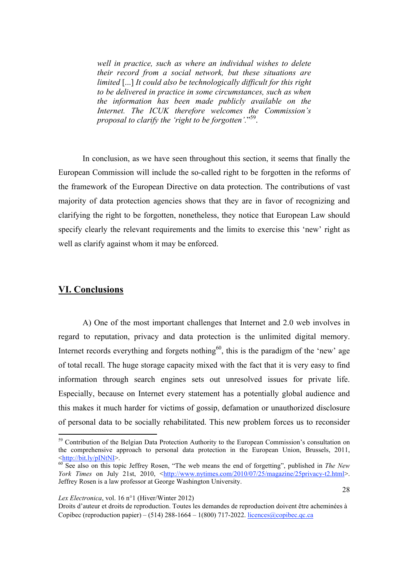*well in practice, such as where an individual wishes to delete their record from a social network, but these situations are limited* [...] *It could also be technologically difficult for this right to be delivered in practice in some circumstances, such as when the information has been made publicly available on the Internet. The ICUK therefore welcomes the Commission's proposal to clarify the 'right to be forgotten'.*" 59.

In conclusion, as we have seen throughout this section, it seems that finally the European Commission will include the so-called right to be forgotten in the reforms of the framework of the European Directive on data protection. The contributions of vast majority of data protection agencies shows that they are in favor of recognizing and clarifying the right to be forgotten, nonetheless, they notice that European Law should specify clearly the relevant requirements and the limits to exercise this 'new' right as well as clarify against whom it may be enforced.

### **VI. Conclusions**

A) One of the most important challenges that Internet and 2.0 web involves in regard to reputation, privacy and data protection is the unlimited digital memory. Internet records everything and forgets nothing<sup>60</sup>, this is the paradigm of the 'new' age of total recall. The huge storage capacity mixed with the fact that it is very easy to find information through search engines sets out unresolved issues for private life. Especially, because on Internet every statement has a potentially global audience and this makes it much harder for victims of gossip, defamation or unauthorized disclosure of personal data to be socially rehabilitated. This new problem forces us to reconsider

*Lex Electronica*, vol. 16 n°1 (Hiver/Winter 2012)

<sup>&</sup>lt;sup>59</sup> Contribution of the Belgian Data Protection Authority to the European Commission's consultation on the comprehensive approach to personal data protection in the European Union, Brussels, 2011,

<sup>&</sup>lt;http://bit.ly/pINtNI>. 60 See also on this topic Jeffrey Rosen, "The web means the end of forgetting", published in *The New York Times* on July 21st, 2010, <http://www.nytimes.com/2010/07/25/magazine/25privacy-t2.html>. Jeffrey Rosen is a law professor at George Washington University.

Droits d'auteur et droits de reproduction. Toutes les demandes de reproduction doivent être acheminées à Copibec (reproduction papier) – (514) 288-1664 – 1(800) 717-2022. licences@copibec.qc.ca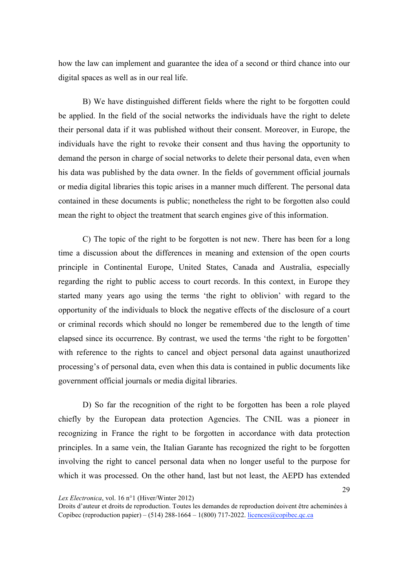how the law can implement and guarantee the idea of a second or third chance into our digital spaces as well as in our real life.

B) We have distinguished different fields where the right to be forgotten could be applied. In the field of the social networks the individuals have the right to delete their personal data if it was published without their consent. Moreover, in Europe, the individuals have the right to revoke their consent and thus having the opportunity to demand the person in charge of social networks to delete their personal data, even when his data was published by the data owner. In the fields of government official journals or media digital libraries this topic arises in a manner much different. The personal data contained in these documents is public; nonetheless the right to be forgotten also could mean the right to object the treatment that search engines give of this information.

C) The topic of the right to be forgotten is not new. There has been for a long time a discussion about the differences in meaning and extension of the open courts principle in Continental Europe, United States, Canada and Australia, especially regarding the right to public access to court records. In this context, in Europe they started many years ago using the terms 'the right to oblivion' with regard to the opportunity of the individuals to block the negative effects of the disclosure of a court or criminal records which should no longer be remembered due to the length of time elapsed since its occurrence. By contrast, we used the terms 'the right to be forgotten' with reference to the rights to cancel and object personal data against unauthorized processing's of personal data, even when this data is contained in public documents like government official journals or media digital libraries.

D) So far the recognition of the right to be forgotten has been a role played chiefly by the European data protection Agencies. The CNIL was a pioneer in recognizing in France the right to be forgotten in accordance with data protection principles. In a same vein, the Italian Garante has recognized the right to be forgotten involving the right to cancel personal data when no longer useful to the purpose for which it was processed. On the other hand, last but not least, the AEPD has extended

Droits d'auteur et droits de reproduction. Toutes les demandes de reproduction doivent être acheminées à Copibec (reproduction papier) – (514) 288-1664 – 1(800) 717-2022. licences@copibec.qc.ca